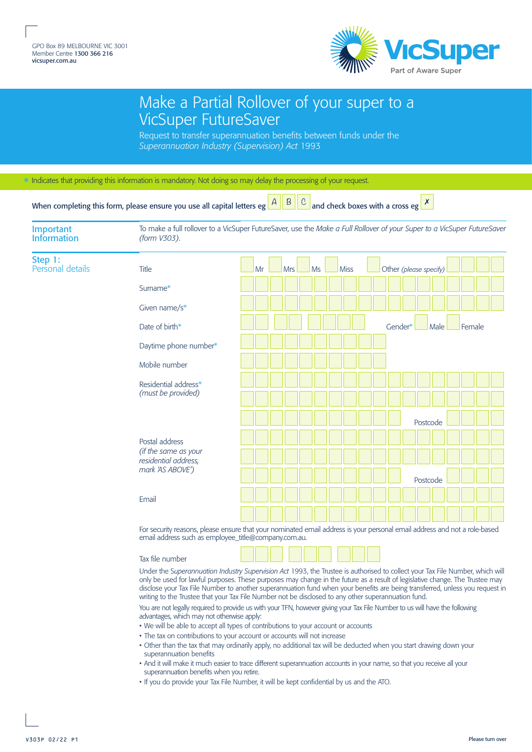

## Make a Partial Rollover of your super to a VicSuper FutureSaver

Request to transfer superannuation benefits between funds under the *Superannuation Industry (Supervision) Act* 1993

\* Indicates that providing this information is mandatory. Not doing so may delay the processing of your request.

When completing this form, please ensure you use all capital letters eg and check boxes with a cross eg ✗

| Important<br><b>Information</b> | To make a full rollover to a VicSuper FutureSaver, use the Make a Full Rollover of your Super to a VicSuper FutureSaver<br>(form V303).                                                                                                                                                                                                                                                                                                                                                                                                                                                                                             |  |    |            |    |             |  |         |                        |        |  |  |  |  |
|---------------------------------|-------------------------------------------------------------------------------------------------------------------------------------------------------------------------------------------------------------------------------------------------------------------------------------------------------------------------------------------------------------------------------------------------------------------------------------------------------------------------------------------------------------------------------------------------------------------------------------------------------------------------------------|--|----|------------|----|-------------|--|---------|------------------------|--------|--|--|--|--|
| Step 1:<br>Personal details     | Title                                                                                                                                                                                                                                                                                                                                                                                                                                                                                                                                                                                                                               |  | Mr | <b>Mrs</b> | Ms | <b>Miss</b> |  |         | Other (please specify) |        |  |  |  |  |
|                                 | Surname*                                                                                                                                                                                                                                                                                                                                                                                                                                                                                                                                                                                                                            |  |    |            |    |             |  |         |                        |        |  |  |  |  |
|                                 | Given name/ $s^*$                                                                                                                                                                                                                                                                                                                                                                                                                                                                                                                                                                                                                   |  |    |            |    |             |  |         |                        |        |  |  |  |  |
|                                 | Date of birth*                                                                                                                                                                                                                                                                                                                                                                                                                                                                                                                                                                                                                      |  |    |            |    |             |  | Gender* | Male                   | Female |  |  |  |  |
|                                 | Daytime phone number*                                                                                                                                                                                                                                                                                                                                                                                                                                                                                                                                                                                                               |  |    |            |    |             |  |         |                        |        |  |  |  |  |
|                                 | Mobile number                                                                                                                                                                                                                                                                                                                                                                                                                                                                                                                                                                                                                       |  |    |            |    |             |  |         |                        |        |  |  |  |  |
|                                 | Residential address*<br>(must be provided)                                                                                                                                                                                                                                                                                                                                                                                                                                                                                                                                                                                          |  |    |            |    |             |  |         |                        |        |  |  |  |  |
|                                 |                                                                                                                                                                                                                                                                                                                                                                                                                                                                                                                                                                                                                                     |  |    |            |    |             |  |         |                        |        |  |  |  |  |
|                                 |                                                                                                                                                                                                                                                                                                                                                                                                                                                                                                                                                                                                                                     |  |    |            |    |             |  |         | Postcode               |        |  |  |  |  |
|                                 | Postal address<br>(if the same as your<br>residential address,<br>mark 'AS ABOVE')                                                                                                                                                                                                                                                                                                                                                                                                                                                                                                                                                  |  |    |            |    |             |  |         |                        |        |  |  |  |  |
|                                 |                                                                                                                                                                                                                                                                                                                                                                                                                                                                                                                                                                                                                                     |  |    |            |    |             |  |         |                        |        |  |  |  |  |
|                                 |                                                                                                                                                                                                                                                                                                                                                                                                                                                                                                                                                                                                                                     |  |    |            |    |             |  |         | Postcode               |        |  |  |  |  |
|                                 | Email                                                                                                                                                                                                                                                                                                                                                                                                                                                                                                                                                                                                                               |  |    |            |    |             |  |         |                        |        |  |  |  |  |
|                                 |                                                                                                                                                                                                                                                                                                                                                                                                                                                                                                                                                                                                                                     |  |    |            |    |             |  |         |                        |        |  |  |  |  |
|                                 | For security reasons, please ensure that your nominated email address is your personal email address and not a role-based<br>email address such as employee_title@company.com.au.                                                                                                                                                                                                                                                                                                                                                                                                                                                   |  |    |            |    |             |  |         |                        |        |  |  |  |  |
|                                 | Tax file number                                                                                                                                                                                                                                                                                                                                                                                                                                                                                                                                                                                                                     |  |    |            |    |             |  |         |                        |        |  |  |  |  |
|                                 | Under the Superannuation Industry Supervision Act 1993, the Trustee is authorised to collect your Tax File Number, which will<br>only be used for lawful purposes. These purposes may change in the future as a result of legislative change. The Trustee may<br>disclose your Tax File Number to another superannuation fund when your benefits are being transferred, unless you request in<br>writing to the Trustee that your Tax File Number not be disclosed to any other superannuation fund.<br>You are not legally required to provide us with your TENL bowever giving your Tay File Number to us will baye the following |  |    |            |    |             |  |         |                        |        |  |  |  |  |

our TFN, however giving your TFN, however advantages, which may not otherwise apply:

- We will be able to accept all types of contributions to your account or accounts
- The tax on contributions to your account or accounts will not increase
- Other than the tax that may ordinarily apply, no additional tax will be deducted when you start drawing down your superannuation benefits
- And it will make it much easier to trace different superannuation accounts in your name, so that you receive all your superannuation benefits when you retire.
- If you do provide your Tax File Number, it will be kept confidential by us and the ATO.